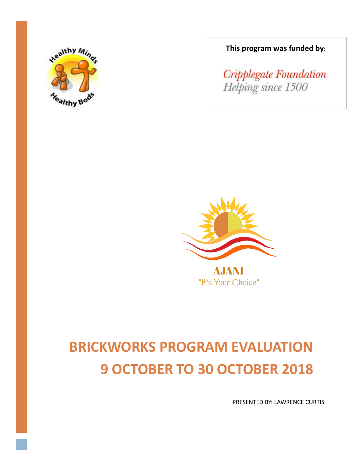

**This program was funded by**:

Cripplegate Foundation Helping since 1500



"It's Your Choice"

# **BRICKWORKS PROGRAM EVALUATION 9 OCTOBER TO 30 OCTOBER 2018**

PRESENTED BY: LAWRENCE CURTIS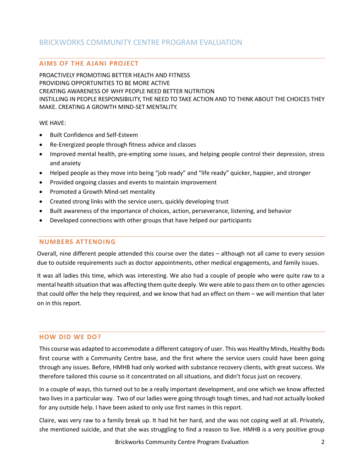# BRICKWORKS COMMUNITY CENTRE PROGRAM EVALUATION

## **AIMS OF THE AJANI PROJECT**

PROACTIVELY PROMOTING BETTER HEALTH AND FITNESS PROVIDING OPPORTUNITIES TO BE MORE ACTIVE CREATING AWARENESS OF WHY PEOPLE NEED BETTER NUTRITION INSTILLING IN PEOPLE RESPONSIBILITY, THE NEED TO TAKE ACTION AND TO THINK ABOUT THE CHOICES THEY MAKE. CREATING A GROWTH MIND-SET MENTALITY.

#### WE HAVE:

- Built Confidence and Self-Esteem
- Re-Energized people through fitness advice and classes
- Improved mental health, pre-empting some issues, and helping people control their depression, stress and anxiety
- Helped people as they move into being "job ready" and "life ready" quicker, happier, and stronger
- Provided ongoing classes and events to maintain improvement
- Promoted a Growth Mind-set mentality
- Created strong links with the service users, quickly developing trust
- Built awareness of the importance of choices, action, perseverance, listening, and behavior
- Developed connections with other groups that have helped our participants

## **NUMBERS ATTENDING**

Overall, nine different people attended this course over the dates – although not all came to every session due to outside requirements such as doctor appointments, other medical engagements, and family issues.

It was all ladies this time, which was interesting. We also had a couple of people who were quite raw to a mental health situation that was affecting them quite deeply. We were able to pass them on to other agencies that could offer the help they required, and we know that had an effect on them – we will mention that later on in this report.

#### **HOW DID WE DO?**

This course was adapted to accommodate a different category of user. This was Healthy Minds, Healthy Bods first course with a Community Centre base, and the first where the service users could have been going through any issues. Before, HMHB had only worked with substance recovery clients, with great success. We therefore tailored this course so it concentrated on all situations, and didn't focus just on recovery.

In a couple of ways, this turned out to be a really important development, and one which we know affected two lives in a particular way. Two of our ladies were going through tough times, and had not actually looked for any outside help. I have been asked to only use first names in this report.

Claire, was very raw to a family break up. It had hit her hard, and she was not coping well at all. Privately, she mentioned suicide, and that she was struggling to find a reason to live. HMHB is a very positive group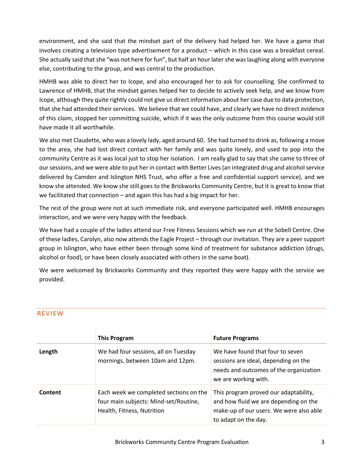environment, and she said that the mindset part of the delivery had helped her. We have a game that involves creating a television type advertisement for a product – which in this case was a breakfast cereal. She actually said that she "was not here for fun", but half an hour later she was laughing along with everyone else, contributing to the group, and was central to the production.

HMHB was able to direct her to Icope, and also encouraged her to ask for counselling. She confirmed to Lawrence of HMHB, that the mindset games helped her to decide to actively seek help, and we know from Icope, although they quite rightly could not give us direct information about her case due to data protection, that she had attended their services. We believe that we could have, and clearly we have no direct evidence of this claim, stopped her committing suicide, which if it was the only outcome from this course would still have made it all worthwhile.

We also met Claudette, who was a lovely lady, aged around 60. She had turned to drink as, following a move to the area, she had lost direct contact with her family and was quite lonely, and used to pop into the community Centre as it was local just to stop her isolation. I am really glad to say that she came to three of our sessions, and we were able to put her in contact with Better Lives (an integrated drug and alcohol service delivered by Camden and Islington NHS Trust, who offer a free and confidential support service), and we know she attended. We know she still goes to the Brickworks Community Centre, but it is great to know that we facilitated that connection – and again this has had a big impact for her.

The rest of the group were not at such immediate risk, and everyone participated well. HMHB encourages interaction, and we were very happy with the feedback.

We have had a couple of the ladies attend our Free Fitness Sessions which we run at the Sobell Centre. One of these ladies, Carolyn, also now attends the Eagle Project – through our invitation. They are a peer support group in Islington, who have either been through some kind of treatment for substance addiction (drugs, alcohol or food), or have been closely associated with others in the same boat).

We were welcomed by Brickworks Community and they reported they were happy with the service we provided.

## **REVIEW**

|         | <b>This Program</b>                                                                                           | <b>Future Programs</b>                                                                                                                            |
|---------|---------------------------------------------------------------------------------------------------------------|---------------------------------------------------------------------------------------------------------------------------------------------------|
| Length  | We had four sessions, all on Tuesday<br>mornings, between 10am and 12pm.                                      | We have found that four to seven<br>sessions are ideal, depending on the<br>needs and outcomes of the organization<br>we are working with.        |
| Content | Each week we completed sections on the<br>four main subjects: Mind-set/Routine,<br>Health, Fitness, Nutrition | This program proved our adaptability,<br>and how fluid we are depending on the<br>make-up of our users. We were also able<br>to adapt on the day. |